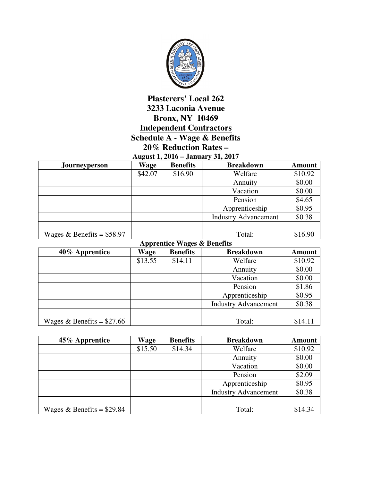

## **Plasterers' Local 262 3233 Laconia Avenue Bronx, NY 10469 Independent Contractors Schedule A - Wage & Benefits 20% Reduction Rates – August 1, 2016 – January 31, 2017**

| August 1, $2010 -$ January 31, $2017$ |         |                 |                             |               |
|---------------------------------------|---------|-----------------|-----------------------------|---------------|
| Journeyperson                         | Wage    | <b>Benefits</b> | <b>Breakdown</b>            | <b>Amount</b> |
|                                       | \$42.07 | \$16.90         | Welfare                     | \$10.92       |
|                                       |         |                 | Annuity                     | \$0.00        |
|                                       |         |                 | Vacation                    | \$0.00        |
|                                       |         |                 | Pension                     | \$4.65        |
|                                       |         |                 | Apprenticeship              | \$0.95        |
|                                       |         |                 | <b>Industry Advancement</b> | \$0.38        |
|                                       |         |                 |                             |               |
| Wages & Benefits = $$58.97$           |         |                 | Total:                      | \$16.90       |

| <b>Apprentice Wages &amp; Benefits</b> |         |                 |                             |               |
|----------------------------------------|---------|-----------------|-----------------------------|---------------|
| 40% Apprentice                         | Wage    | <b>Benefits</b> | <b>Breakdown</b>            | <b>Amount</b> |
|                                        | \$13.55 | \$14.11         | Welfare                     | \$10.92       |
|                                        |         |                 | Annuity                     | \$0.00        |
|                                        |         |                 | Vacation                    | \$0.00        |
|                                        |         |                 | Pension                     | \$1.86        |
|                                        |         |                 | Apprenticeship              | \$0.95        |
|                                        |         |                 | <b>Industry Advancement</b> | \$0.38        |
|                                        |         |                 |                             |               |
| Wages & Benefits = $$27.66$            |         |                 | Total:                      | \$14.11       |

| 45% Apprentice              | Wage    | <b>Benefits</b> | <b>Breakdown</b>            | <b>Amount</b> |
|-----------------------------|---------|-----------------|-----------------------------|---------------|
|                             | \$15.50 | \$14.34         | Welfare                     | \$10.92       |
|                             |         |                 | Annuity                     | \$0.00        |
|                             |         |                 | Vacation                    | \$0.00        |
|                             |         |                 | Pension                     | \$2.09        |
|                             |         |                 | Apprenticeship              | \$0.95        |
|                             |         |                 | <b>Industry Advancement</b> | \$0.38        |
|                             |         |                 |                             |               |
| Wages & Benefits = $$29.84$ |         |                 | Total:                      | \$14.34       |